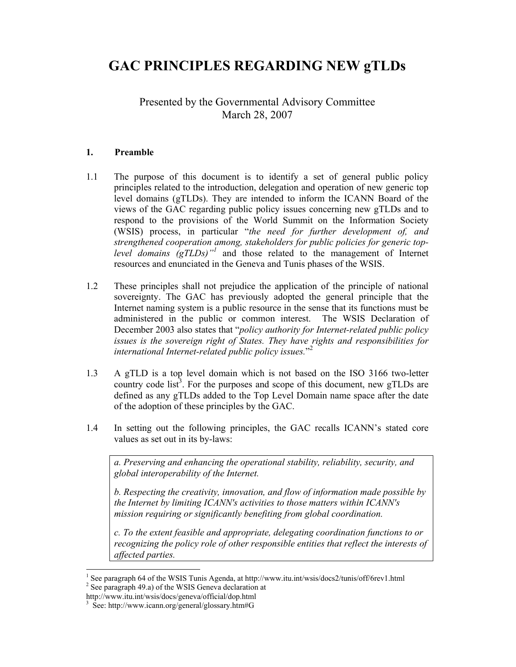# **GAC PRINCIPLES REGARDING NEW gTLDs**

Presented by the Governmental Advisory Committee March 28, 2007

#### **1. Preamble**

- 1.1 The purpose of this document is to identify a set of general public policy principles related to the introduction, delegation and operation of new generic top level domains (gTLDs). They are intended to inform the ICANN Board of the views of the GAC regarding public policy issues concerning new gTLDs and to respond to the provisions of the World Summit on the Information Society (WSIS) process, in particular "*the need for further development of, and strengthened cooperation among, stakeholders for public policies for generic toplevel domains (gTLDs)"<sup>1</sup>* and those related to the management of Internet resources and enunciated in the Geneva and Tunis phases of the WSIS.
- 1.2 These principles shall not prejudice the application of the principle of national sovereignty. The GAC has previously adopted the general principle that the Internet naming system is a public resource in the sense that its functions must be administered in the public or common interest. The WSIS Declaration of December 2003 also states that "*policy authority for Internet-related public policy issues is the sovereign right of States. They have rights and responsibilities for international Internet-related public policy issues.*" 2
- 1.3 A gTLD is a top level domain which is not based on the ISO 3166 two-letter country code list<sup>3</sup>. For the purposes and scope of this document, new gTLDs are defined as any gTLDs added to the Top Level Domain name space after the date of the adoption of these principles by the GAC.
- 1.4 In setting out the following principles, the GAC recalls ICANN's stated core values as set out in its by-laws:

*a. Preserving and enhancing the operational stability, reliability, security, and global interoperability of the Internet.* 

*b. Respecting the creativity, innovation, and flow of information made possible by the Internet by limiting ICANN's activities to those matters within ICANN's mission requiring or significantly benefiting from global coordination.* 

*c. To the extent feasible and appropriate, delegating coordination functions to or recognizing the policy role of other responsible entities that reflect the interests of affected parties.* 

 $\overline{a}$ 

<sup>&</sup>lt;sup>1</sup> See paragraph 64 of the WSIS Tunis Agenda, at http://www.itu.int/wsis/docs2/tunis/off/6rev1.html 2 See paragraph 49.a) of the WSIS Geneva declaration at

http://www.itu.int/wsis/docs/geneva/official/dop.html

<sup>3</sup> See: http://www.icann.org/general/glossary.htm#G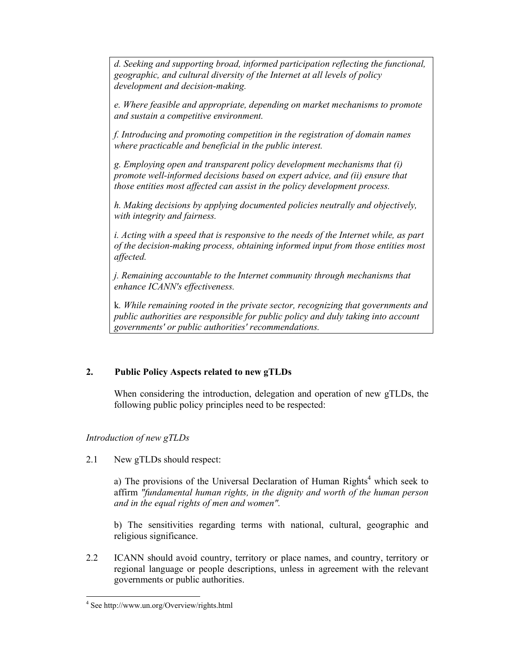*d. Seeking and supporting broad, informed participation reflecting the functional, geographic, and cultural diversity of the Internet at all levels of policy development and decision-making.* 

*e. Where feasible and appropriate, depending on market mechanisms to promote and sustain a competitive environment.* 

*f. Introducing and promoting competition in the registration of domain names where practicable and beneficial in the public interest.* 

*g. Employing open and transparent policy development mechanisms that (i) promote well-informed decisions based on expert advice, and (ii) ensure that those entities most affected can assist in the policy development process.* 

*h. Making decisions by applying documented policies neutrally and objectively, with integrity and fairness.* 

*i. Acting with a speed that is responsive to the needs of the Internet while, as part of the decision-making process, obtaining informed input from those entities most affected.* 

*j. Remaining accountable to the Internet community through mechanisms that enhance ICANN's effectiveness.* 

k*. While remaining rooted in the private sector, recognizing that governments and public authorities are responsible for public policy and duly taking into account governments' or public authorities' recommendations.* 

## **2. Public Policy Aspects related to new gTLDs**

 When considering the introduction, delegation and operation of new gTLDs, the following public policy principles need to be respected:

## *Introduction of new gTLDs*

2.1 New gTLDs should respect:

a) The provisions of the Universal Declaration of Human Rights<sup>4</sup> which seek to affirm *"fundamental human rights, in the dignity and worth of the human person and in the equal rights of men and women".* 

 b) The sensitivities regarding terms with national, cultural, geographic and religious significance.

2.2 ICANN should avoid country, territory or place names, and country, territory or regional language or people descriptions, unless in agreement with the relevant governments or public authorities.

 $\overline{a}$ 4 See http://www.un.org/Overview/rights.html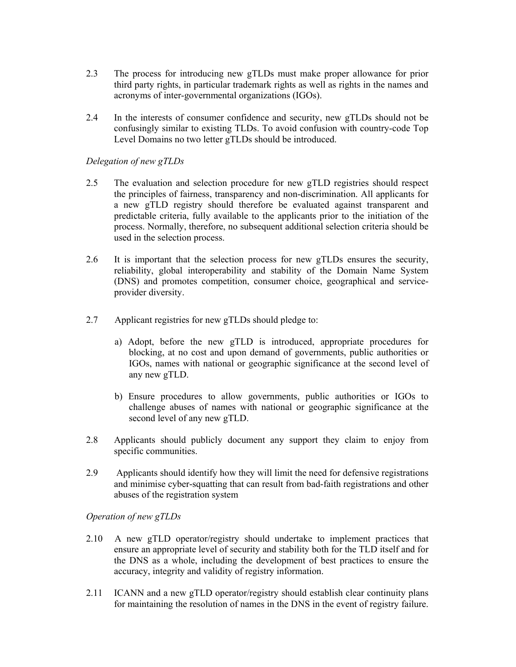- 2.3 The process for introducing new gTLDs must make proper allowance for prior third party rights, in particular trademark rights as well as rights in the names and acronyms of inter-governmental organizations (IGOs).
- 2.4 In the interests of consumer confidence and security, new gTLDs should not be confusingly similar to existing TLDs. To avoid confusion with country-code Top Level Domains no two letter gTLDs should be introduced.

#### *Delegation of new gTLDs*

- 2.5 The evaluation and selection procedure for new gTLD registries should respect the principles of fairness, transparency and non-discrimination. All applicants for a new gTLD registry should therefore be evaluated against transparent and predictable criteria, fully available to the applicants prior to the initiation of the process. Normally, therefore, no subsequent additional selection criteria should be used in the selection process.
- 2.6 It is important that the selection process for new gTLDs ensures the security, reliability, global interoperability and stability of the Domain Name System (DNS) and promotes competition, consumer choice, geographical and serviceprovider diversity.
- 2.7 Applicant registries for new gTLDs should pledge to:
	- a) Adopt, before the new gTLD is introduced, appropriate procedures for blocking, at no cost and upon demand of governments, public authorities or IGOs, names with national or geographic significance at the second level of any new gTLD.
	- b) Ensure procedures to allow governments, public authorities or IGOs to challenge abuses of names with national or geographic significance at the second level of any new gTLD.
- 2.8 Applicants should publicly document any support they claim to enjoy from specific communities.
- 2.9 Applicants should identify how they will limit the need for defensive registrations and minimise cyber-squatting that can result from bad-faith registrations and other abuses of the registration system

*Operation of new gTLDs* 

- 2.10 A new gTLD operator/registry should undertake to implement practices that ensure an appropriate level of security and stability both for the TLD itself and for the DNS as a whole, including the development of best practices to ensure the accuracy, integrity and validity of registry information.
- 2.11 ICANN and a new gTLD operator/registry should establish clear continuity plans for maintaining the resolution of names in the DNS in the event of registry failure.